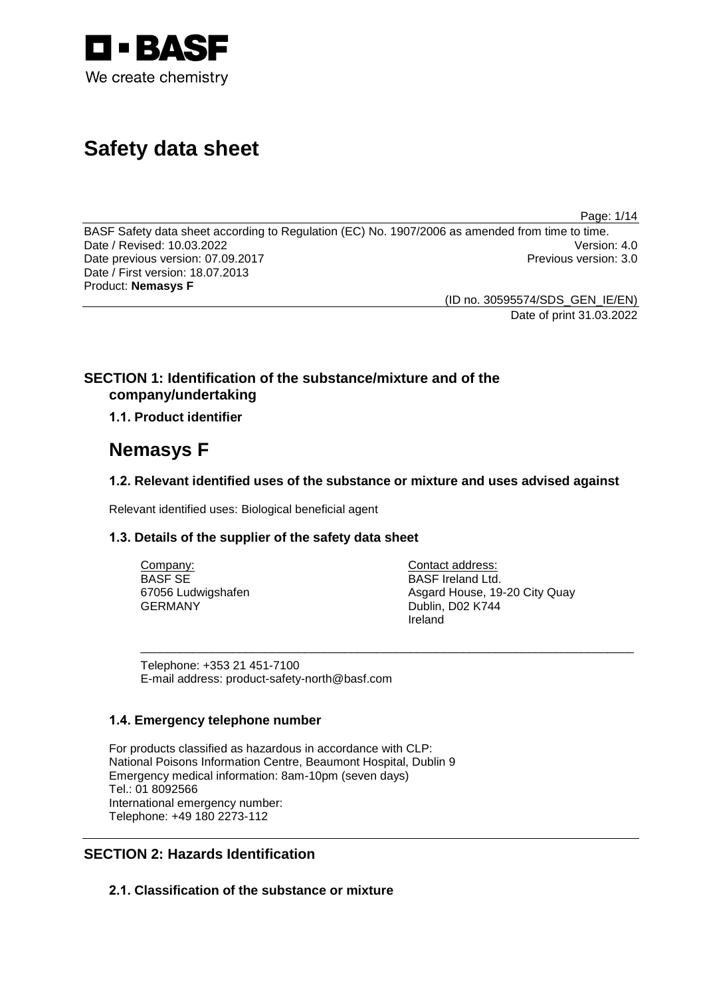

# **Safety data sheet**

Page: 1/14

BASF Safety data sheet according to Regulation (EC) No. 1907/2006 as amended from time to time.<br>Date / Revised: 10.03.2022 Date / Revised: 10.03.2022<br>
Date previous version: 07.09.2017 Date previous version: 07.09.2017 Date / First version: 18.07.2013 Product: **Nemasys F**

(ID no. 30595574/SDS\_GEN\_IE/EN) Date of print 31.03.2022

# **SECTION 1: Identification of the substance/mixture and of the company/undertaking**

**1.1. Product identifier**

# **Nemasys F**

# **1.2. Relevant identified uses of the substance or mixture and uses advised against**

\_\_\_\_\_\_\_\_\_\_\_\_\_\_\_\_\_\_\_\_\_\_\_\_\_\_\_\_\_\_\_\_\_\_\_\_\_\_\_\_\_\_\_\_\_\_\_\_\_\_\_\_\_\_\_\_\_\_\_\_\_\_\_\_\_\_\_\_\_\_\_\_\_\_\_

Relevant identified uses: Biological beneficial agent

# **1.3. Details of the supplier of the safety data sheet**

Company: BASF SE 67056 Ludwigshafen GERMANY

Contact address: BASF Ireland Ltd. Asgard House, 19-20 City Quay Dublin, D02 K744 Ireland

Telephone: +353 21 451-7100 E-mail address: product-safety-north@basf.com

# **1.4. Emergency telephone number**

For products classified as hazardous in accordance with CLP: National Poisons Information Centre, Beaumont Hospital, Dublin 9 Emergency medical information: 8am-10pm (seven days) Tel.: 01 8092566 International emergency number: Telephone: +49 180 2273-112

# **SECTION 2: Hazards Identification**

**2.1. Classification of the substance or mixture**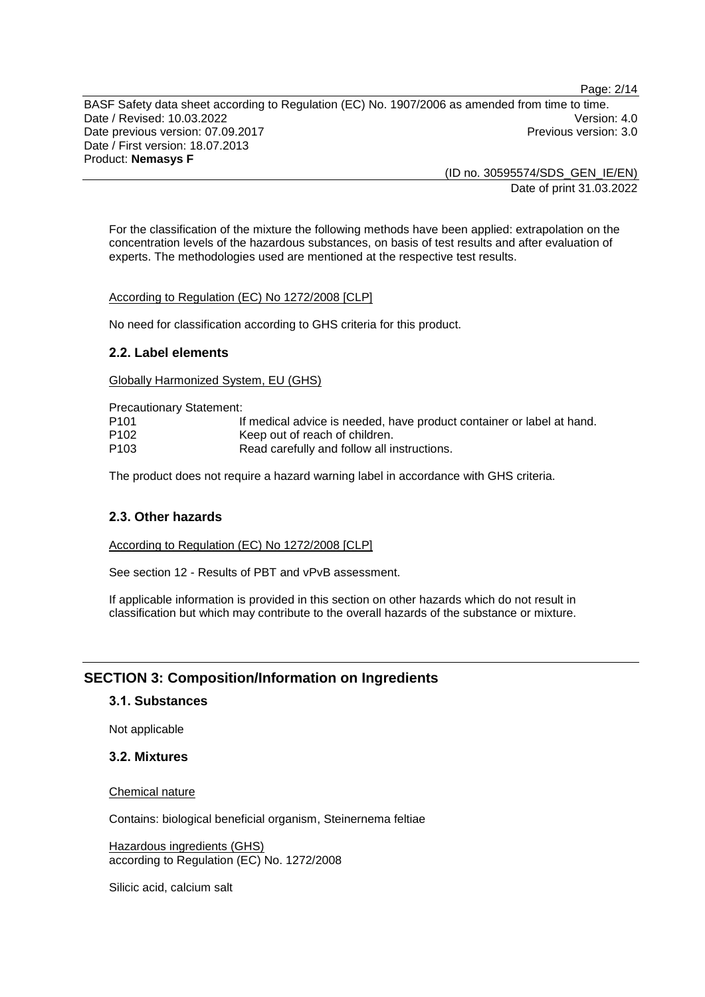Page: 2/14

BASF Safety data sheet according to Regulation (EC) No. 1907/2006 as amended from time to time. Date / Revised: 10.03.2022 Date previous version: 07.09.2017 **Previous version: 3.0** Previous version: 3.0 Date / First version: 18.07.2013 Product: **Nemasys F**

> (ID no. 30595574/SDS\_GEN\_IE/EN) Date of print 31.03.2022

For the classification of the mixture the following methods have been applied: extrapolation on the concentration levels of the hazardous substances, on basis of test results and after evaluation of experts. The methodologies used are mentioned at the respective test results.

According to Regulation (EC) No 1272/2008 [CLP]

No need for classification according to GHS criteria for this product.

### **2.2. Label elements**

Globally Harmonized System, EU (GHS)

Precautionary Statement: P101 If medical advice is needed, have product container or label at hand. P102 Keep out of reach of children. P103 Read carefully and follow all instructions.

The product does not require a hazard warning label in accordance with GHS criteria.

# **2.3. Other hazards**

According to Regulation (EC) No 1272/2008 [CLP]

See section 12 - Results of PBT and vPvB assessment.

If applicable information is provided in this section on other hazards which do not result in classification but which may contribute to the overall hazards of the substance or mixture.

# **SECTION 3: Composition/Information on Ingredients**

#### **3.1. Substances**

Not applicable

### **3.2. Mixtures**

Chemical nature

Contains: biological beneficial organism, Steinernema feltiae

Hazardous ingredients (GHS) according to Regulation (EC) No. 1272/2008

Silicic acid, calcium salt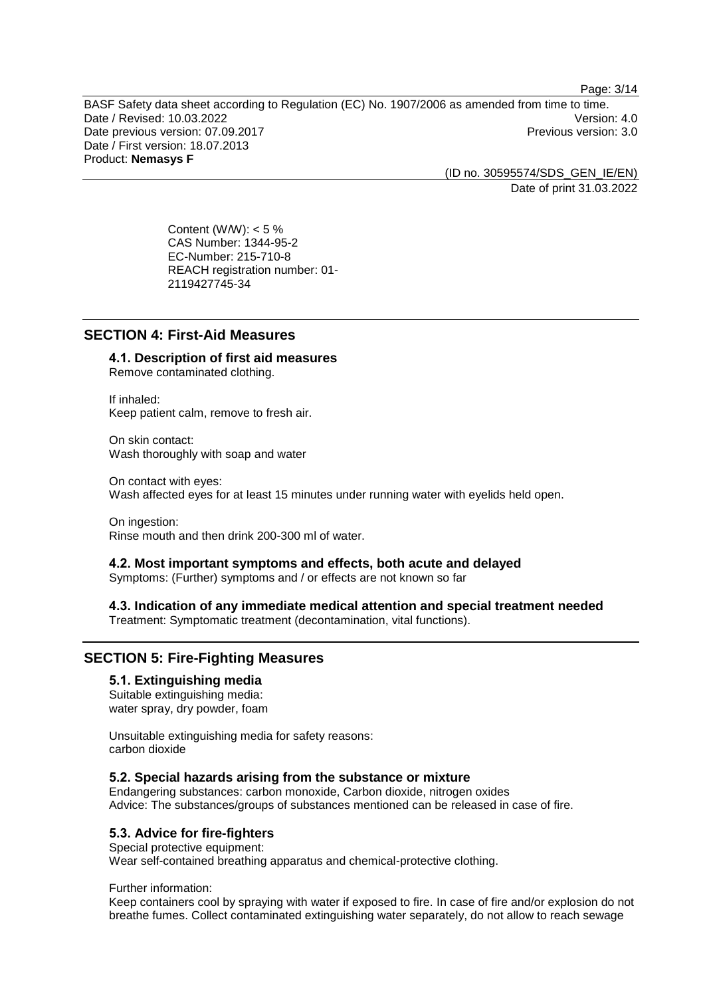Page: 3/14

BASF Safety data sheet according to Regulation (EC) No. 1907/2006 as amended from time to time.<br>Date / Revised: 10.03.2022 Date / Revised: 10.03.2022 Date previous version: 07.09.2017 **Previous version: 3.0** Previous version: 3.0 Date / First version: 18.07.2013 Product: **Nemasys F**

> (ID no. 30595574/SDS\_GEN\_IE/EN) Date of print 31.03.2022

Content (W/W):  $< 5 \%$ CAS Number: 1344-95-2 EC-Number: 215-710-8 REACH registration number: 01- 2119427745-34

# **SECTION 4: First-Aid Measures**

# **4.1. Description of first aid measures**

Remove contaminated clothing.

If inhaled: Keep patient calm, remove to fresh air.

On skin contact: Wash thoroughly with soap and water

On contact with eyes: Wash affected eyes for at least 15 minutes under running water with eyelids held open.

On ingestion: Rinse mouth and then drink 200-300 ml of water.

#### **4.2. Most important symptoms and effects, both acute and delayed**

Symptoms: (Further) symptoms and / or effects are not known so far

# **4.3. Indication of any immediate medical attention and special treatment needed**

Treatment: Symptomatic treatment (decontamination, vital functions).

# **SECTION 5: Fire-Fighting Measures**

### **5.1. Extinguishing media**

Suitable extinguishing media: water spray, dry powder, foam

Unsuitable extinguishing media for safety reasons: carbon dioxide

# **5.2. Special hazards arising from the substance or mixture**

Endangering substances: carbon monoxide, Carbon dioxide, nitrogen oxides Advice: The substances/groups of substances mentioned can be released in case of fire.

# **5.3. Advice for fire-fighters**

Special protective equipment: Wear self-contained breathing apparatus and chemical-protective clothing.

#### Further information:

Keep containers cool by spraying with water if exposed to fire. In case of fire and/or explosion do not breathe fumes. Collect contaminated extinguishing water separately, do not allow to reach sewage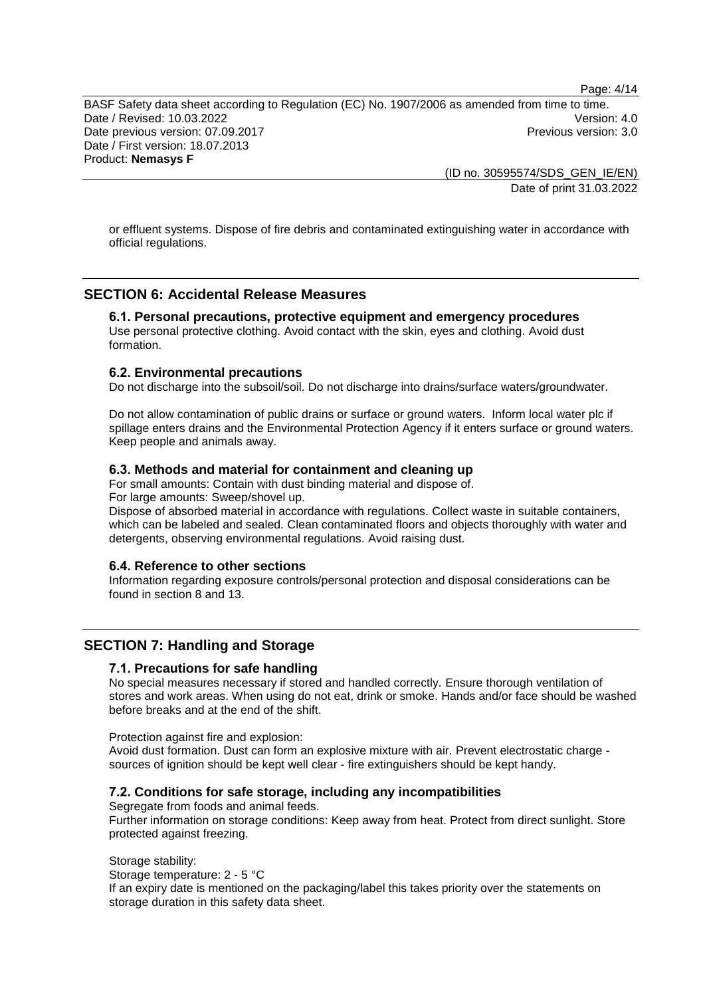Page: 4/14

BASF Safety data sheet according to Regulation (EC) No. 1907/2006 as amended from time to time. Date / Revised: 10.03.2022 Date previous version: 07.09.2017 **Previous version: 3.0** Previous version: 3.0 Date / First version: 18.07.2013

Product: **Nemasys F**

(ID no. 30595574/SDS\_GEN\_IE/EN) Date of print 31.03.2022

or effluent systems. Dispose of fire debris and contaminated extinguishing water in accordance with official regulations.

# **SECTION 6: Accidental Release Measures**

# **6.1. Personal precautions, protective equipment and emergency procedures**

Use personal protective clothing. Avoid contact with the skin, eyes and clothing. Avoid dust formation.

#### **6.2. Environmental precautions**

Do not discharge into the subsoil/soil. Do not discharge into drains/surface waters/groundwater.

Do not allow contamination of public drains or surface or ground waters. Inform local water plc if spillage enters drains and the Environmental Protection Agency if it enters surface or ground waters. Keep people and animals away.

#### **6.3. Methods and material for containment and cleaning up**

For small amounts: Contain with dust binding material and dispose of. For large amounts: Sweep/shovel up.

Dispose of absorbed material in accordance with regulations. Collect waste in suitable containers, which can be labeled and sealed. Clean contaminated floors and objects thoroughly with water and detergents, observing environmental regulations. Avoid raising dust.

# **6.4. Reference to other sections**

Information regarding exposure controls/personal protection and disposal considerations can be found in section 8 and 13.

### **SECTION 7: Handling and Storage**

### **7.1. Precautions for safe handling**

No special measures necessary if stored and handled correctly. Ensure thorough ventilation of stores and work areas. When using do not eat, drink or smoke. Hands and/or face should be washed before breaks and at the end of the shift.

Protection against fire and explosion:

Avoid dust formation. Dust can form an explosive mixture with air. Prevent electrostatic charge sources of ignition should be kept well clear - fire extinguishers should be kept handy.

#### **7.2. Conditions for safe storage, including any incompatibilities**

Segregate from foods and animal feeds. Further information on storage conditions: Keep away from heat. Protect from direct sunlight. Store protected against freezing.

#### Storage stability:

Storage temperature: 2 - 5 °C

If an expiry date is mentioned on the packaging/label this takes priority over the statements on storage duration in this safety data sheet.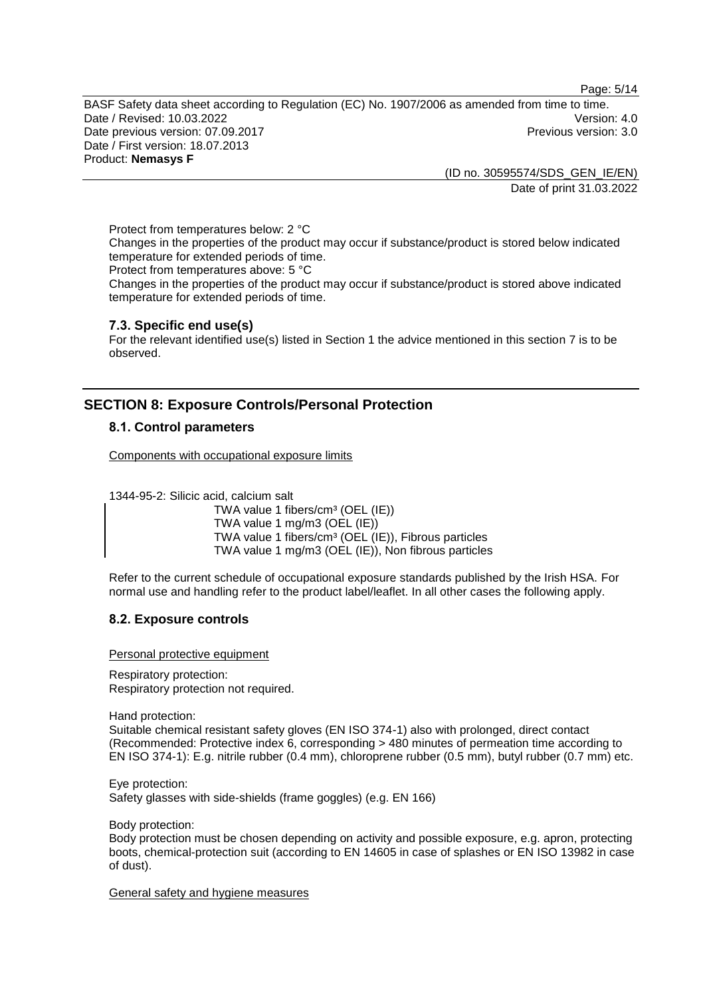Page: 5/14

BASF Safety data sheet according to Regulation (EC) No. 1907/2006 as amended from time to time. Date / Revised: 10.03.2022 Version: 4.0 Date previous version: 07.09.2017 **Previous version: 3.0** Previous version: 3.0 Date / First version: 18.07.2013 Product: **Nemasys F**

(ID no. 30595574/SDS\_GEN\_IE/EN)

Date of print 31.03.2022

Protect from temperatures below: 2 °C Changes in the properties of the product may occur if substance/product is stored below indicated temperature for extended periods of time.

Protect from temperatures above: 5 °C

Changes in the properties of the product may occur if substance/product is stored above indicated temperature for extended periods of time.

# **7.3. Specific end use(s)**

For the relevant identified use(s) listed in Section 1 the advice mentioned in this section 7 is to be observed.

# **SECTION 8: Exposure Controls/Personal Protection**

# **8.1. Control parameters**

Components with occupational exposure limits

1344-95-2: Silicic acid, calcium salt

TWA value 1 fibers/cm<sup>3</sup> (OEL (IE)) TWA value 1 mg/m3 (OEL (IE)) TWA value 1 fibers/cm<sup>3</sup> (OEL (IE)), Fibrous particles TWA value 1 mg/m3 (OEL (IE)), Non fibrous particles

Refer to the current schedule of occupational exposure standards published by the Irish HSA. For normal use and handling refer to the product label/leaflet. In all other cases the following apply.

# **8.2. Exposure controls**

Personal protective equipment

Respiratory protection: Respiratory protection not required.

Hand protection:

Suitable chemical resistant safety gloves (EN ISO 374-1) also with prolonged, direct contact (Recommended: Protective index 6, corresponding > 480 minutes of permeation time according to EN ISO 374-1): E.g. nitrile rubber (0.4 mm), chloroprene rubber (0.5 mm), butyl rubber (0.7 mm) etc.

Eye protection: Safety glasses with side-shields (frame goggles) (e.g. EN 166)

Body protection:

Body protection must be chosen depending on activity and possible exposure, e.g. apron, protecting boots, chemical-protection suit (according to EN 14605 in case of splashes or EN ISO 13982 in case of dust).

General safety and hygiene measures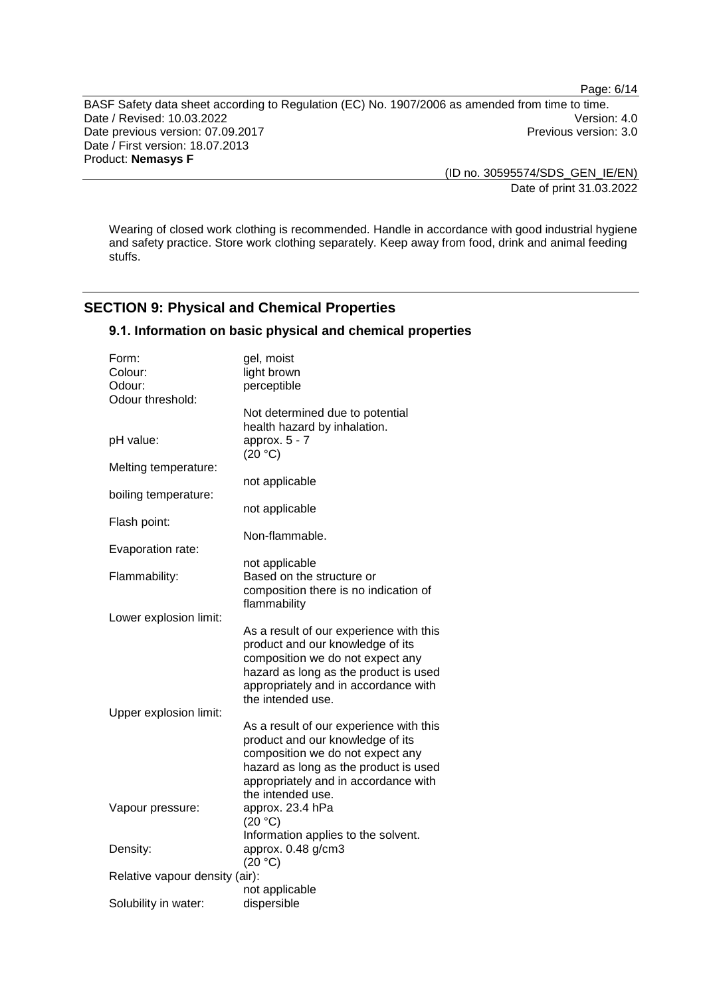Page: 6/14

BASF Safety data sheet according to Regulation (EC) No. 1907/2006 as amended from time to time. Date / Revised: 10.03.2022<br>Date previous version: 07.09.2017<br>Previous version: 3.0 Date previous version: 07.09.2017 Date / First version: 18.07.2013 Product: **Nemasys F**

> (ID no. 30595574/SDS\_GEN\_IE/EN) Date of print 31.03.2022

Wearing of closed work clothing is recommended. Handle in accordance with good industrial hygiene and safety practice. Store work clothing separately. Keep away from food, drink and animal feeding stuffs.

# **SECTION 9: Physical and Chemical Properties**

# **9.1. Information on basic physical and chemical properties**

| Form:<br>Colour:<br>Odour:<br>Odour threshold: | gel, moist<br>light brown<br>perceptible                                                                                                                                                                              |  |
|------------------------------------------------|-----------------------------------------------------------------------------------------------------------------------------------------------------------------------------------------------------------------------|--|
| pH value:                                      | Not determined due to potential<br>health hazard by inhalation.<br>approx. $5 - 7$<br>(20 °C)                                                                                                                         |  |
| Melting temperature:                           |                                                                                                                                                                                                                       |  |
| boiling temperature:                           | not applicable                                                                                                                                                                                                        |  |
| Flash point:                                   | not applicable                                                                                                                                                                                                        |  |
| Evaporation rate:                              | Non-flammable.                                                                                                                                                                                                        |  |
| Flammability:                                  | not applicable<br>Based on the structure or<br>composition there is no indication of<br>flammability                                                                                                                  |  |
| Lower explosion limit:                         |                                                                                                                                                                                                                       |  |
|                                                | As a result of our experience with this<br>product and our knowledge of its<br>composition we do not expect any<br>hazard as long as the product is used<br>appropriately and in accordance with<br>the intended use. |  |
| Upper explosion limit:                         | As a result of our experience with this<br>product and our knowledge of its<br>composition we do not expect any<br>hazard as long as the product is used<br>appropriately and in accordance with<br>the intended use. |  |
| Vapour pressure:                               | approx. 23.4 hPa<br>(20 °C)                                                                                                                                                                                           |  |
| Density:                                       | Information applies to the solvent.<br>approx. 0.48 g/cm3<br>(20 °C)                                                                                                                                                  |  |
| Relative vapour density (air):                 |                                                                                                                                                                                                                       |  |
| Solubility in water:                           | not applicable<br>dispersible                                                                                                                                                                                         |  |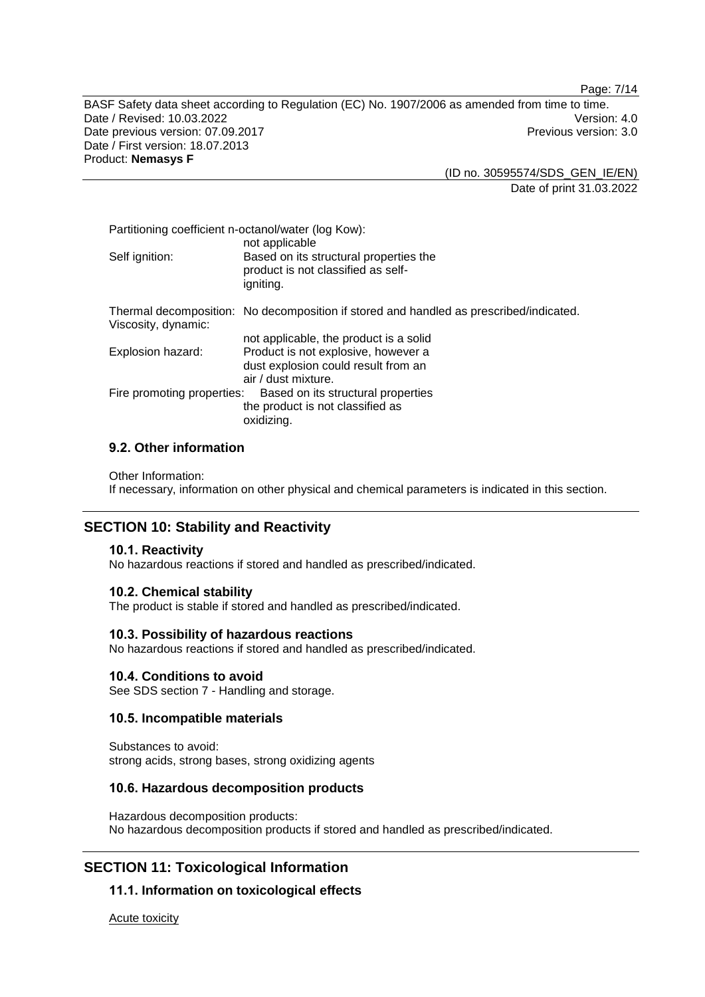Page: 7/14

BASF Safety data sheet according to Regulation (EC) No. 1907/2006 as amended from time to time. Date / Revised: 10.03.2022<br>Date previous version: 07.09.2017 Version: 07.09.2017 Date previous version: 07.09.2017 Date / First version: 18.07.2013 Product: **Nemasys F**

> (ID no. 30595574/SDS\_GEN\_IE/EN) Date of print 31.03.2022

| Partitioning coefficient n-octanol/water (log Kow):<br>not applicable |                                                                                           |  |
|-----------------------------------------------------------------------|-------------------------------------------------------------------------------------------|--|
| Self ignition:                                                        | Based on its structural properties the<br>product is not classified as self-<br>igniting. |  |
| Viscosity, dynamic:                                                   | Thermal decomposition: No decomposition if stored and handled as prescribed/indicated.    |  |
|                                                                       | not applicable, the product is a solid                                                    |  |
| Explosion hazard:                                                     | Product is not explosive, however a                                                       |  |
|                                                                       | dust explosion could result from an                                                       |  |
|                                                                       | air / dust mixture.                                                                       |  |
| Fire promoting properties:<br>Based on its structural properties      |                                                                                           |  |
|                                                                       | the product is not classified as                                                          |  |
|                                                                       | oxidizing.                                                                                |  |

# **9.2. Other information**

Other Information:

If necessary, information on other physical and chemical parameters is indicated in this section.

# **SECTION 10: Stability and Reactivity**

# **10.1. Reactivity**

No hazardous reactions if stored and handled as prescribed/indicated.

#### **10.2. Chemical stability**

The product is stable if stored and handled as prescribed/indicated.

#### **10.3. Possibility of hazardous reactions**

No hazardous reactions if stored and handled as prescribed/indicated.

#### **10.4. Conditions to avoid**

See SDS section 7 - Handling and storage.

### **10.5. Incompatible materials**

Substances to avoid: strong acids, strong bases, strong oxidizing agents

#### **10.6. Hazardous decomposition products**

Hazardous decomposition products: No hazardous decomposition products if stored and handled as prescribed/indicated.

# **SECTION 11: Toxicological Information**

# **11.1. Information on toxicological effects**

Acute toxicity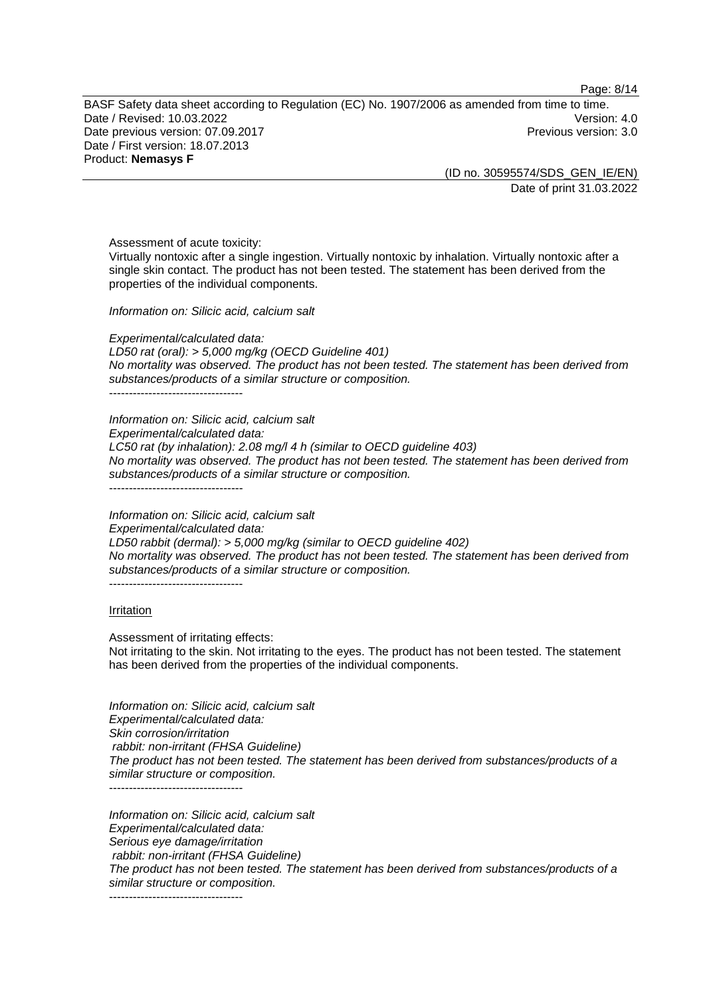Page: 8/14

BASF Safety data sheet according to Regulation (EC) No. 1907/2006 as amended from time to time. Date / Revised: 10.03.2022 Date previous version: 07.09.2017 **Previous version: 3.0** Previous version: 3.0 Date / First version: 18.07.2013 Product: **Nemasys F**

> (ID no. 30595574/SDS\_GEN\_IE/EN) Date of print 31.03.2022

Assessment of acute toxicity:

Virtually nontoxic after a single ingestion. Virtually nontoxic by inhalation. Virtually nontoxic after a single skin contact. The product has not been tested. The statement has been derived from the properties of the individual components.

*Information on: Silicic acid, calcium salt*

*Experimental/calculated data: LD50 rat (oral): > 5,000 mg/kg (OECD Guideline 401) No mortality was observed. The product has not been tested. The statement has been derived from substances/products of a similar structure or composition.* ----------------------------------

*Information on: Silicic acid, calcium salt Experimental/calculated data: LC50 rat (by inhalation): 2.08 mg/l 4 h (similar to OECD guideline 403) No mortality was observed. The product has not been tested. The statement has been derived from substances/products of a similar structure or composition.* ----------------------------------

*Information on: Silicic acid, calcium salt Experimental/calculated data: LD50 rabbit (dermal): > 5,000 mg/kg (similar to OECD guideline 402) No mortality was observed. The product has not been tested. The statement has been derived from substances/products of a similar structure or composition.* ----------------------------------

#### Irritation

Assessment of irritating effects: Not irritating to the skin. Not irritating to the eyes. The product has not been tested. The statement has been derived from the properties of the individual components.

*Information on: Silicic acid, calcium salt Experimental/calculated data: Skin corrosion/irritation rabbit: non-irritant (FHSA Guideline) The product has not been tested. The statement has been derived from substances/products of a similar structure or composition.* ----------------------------------

*Information on: Silicic acid, calcium salt Experimental/calculated data: Serious eye damage/irritation rabbit: non-irritant (FHSA Guideline) The product has not been tested. The statement has been derived from substances/products of a similar structure or composition.*

----------------------------------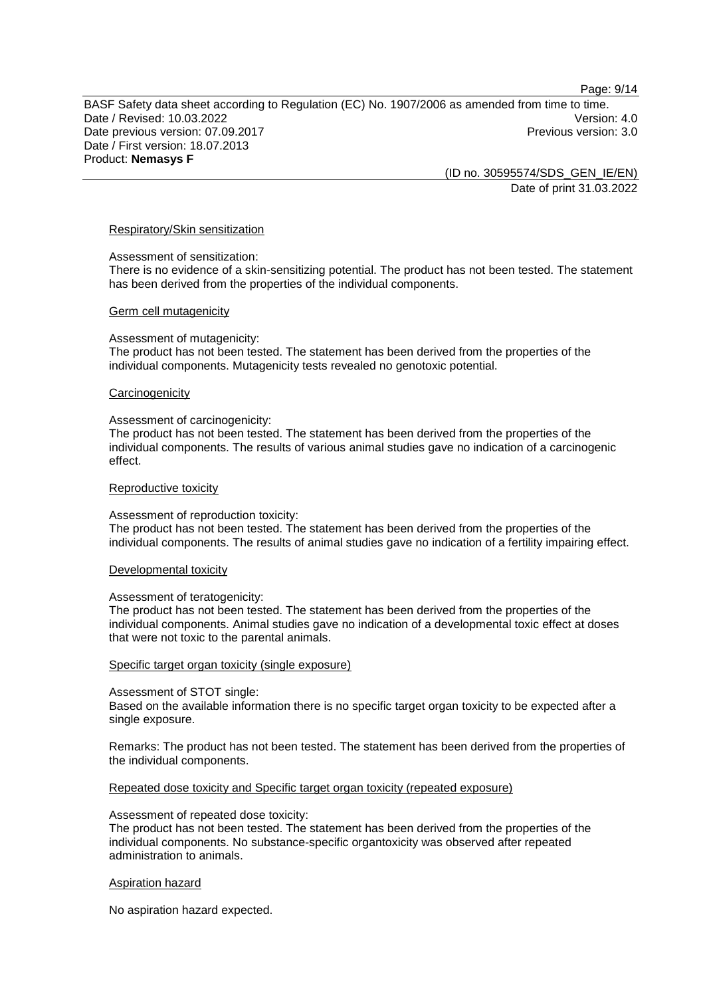Page: 9/14

BASF Safety data sheet according to Regulation (EC) No. 1907/2006 as amended from time to time. Date / Revised: 10.03.2022 Date previous version: 07.09.2017 **Previous version: 3.0** Previous version: 3.0 Date / First version: 18.07.2013 Product: **Nemasys F**

(ID no. 30595574/SDS\_GEN\_IE/EN) Date of print 31.03.2022

#### Respiratory/Skin sensitization

#### Assessment of sensitization:

There is no evidence of a skin-sensitizing potential. The product has not been tested. The statement has been derived from the properties of the individual components.

#### Germ cell mutagenicity

#### Assessment of mutagenicity:

The product has not been tested. The statement has been derived from the properties of the individual components. Mutagenicity tests revealed no genotoxic potential.

#### **Carcinogenicity**

#### Assessment of carcinogenicity:

The product has not been tested. The statement has been derived from the properties of the individual components. The results of various animal studies gave no indication of a carcinogenic effect.

#### Reproductive toxicity

#### Assessment of reproduction toxicity:

The product has not been tested. The statement has been derived from the properties of the individual components. The results of animal studies gave no indication of a fertility impairing effect.

#### Developmental toxicity

#### Assessment of teratogenicity:

The product has not been tested. The statement has been derived from the properties of the individual components. Animal studies gave no indication of a developmental toxic effect at doses that were not toxic to the parental animals.

#### Specific target organ toxicity (single exposure)

#### Assessment of STOT single:

Based on the available information there is no specific target organ toxicity to be expected after a single exposure.

Remarks: The product has not been tested. The statement has been derived from the properties of the individual components.

#### Repeated dose toxicity and Specific target organ toxicity (repeated exposure)

#### Assessment of repeated dose toxicity:

The product has not been tested. The statement has been derived from the properties of the individual components. No substance-specific organtoxicity was observed after repeated administration to animals.

#### Aspiration hazard

No aspiration hazard expected.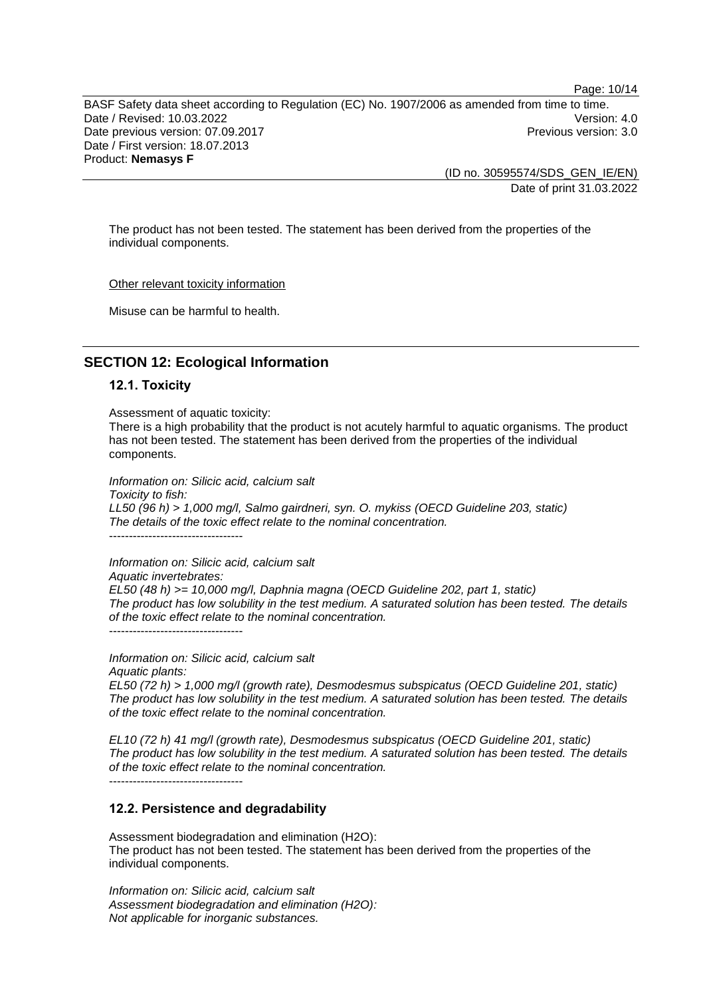Page: 10/14

BASF Safety data sheet according to Regulation (EC) No. 1907/2006 as amended from time to time. Date / Revised: 10.03.2022 Version: 4.0 Date previous version: 07.09.2017 **Previous version: 3.0** Previous version: 3.0 Date / First version: 18.07.2013 Product: **Nemasys F**

(ID no. 30595574/SDS\_GEN\_IE/EN) Date of print 31.03.2022

The product has not been tested. The statement has been derived from the properties of the individual components.

Other relevant toxicity information

Misuse can be harmful to health.

# **SECTION 12: Ecological Information**

### **12.1. Toxicity**

Assessment of aquatic toxicity:

There is a high probability that the product is not acutely harmful to aquatic organisms. The product has not been tested. The statement has been derived from the properties of the individual components.

*Information on: Silicic acid, calcium salt Toxicity to fish: LL50 (96 h) > 1,000 mg/l, Salmo gairdneri, syn. O. mykiss (OECD Guideline 203, static) The details of the toxic effect relate to the nominal concentration.* ----------------------------------

*Information on: Silicic acid, calcium salt Aquatic invertebrates: EL50 (48 h) >= 10,000 mg/l, Daphnia magna (OECD Guideline 202, part 1, static) The product has low solubility in the test medium. A saturated solution has been tested. The details of the toxic effect relate to the nominal concentration.*  $-$ 

*Information on: Silicic acid, calcium salt Aquatic plants:*

*EL50 (72 h) > 1,000 mg/l (growth rate), Desmodesmus subspicatus (OECD Guideline 201, static) The product has low solubility in the test medium. A saturated solution has been tested. The details of the toxic effect relate to the nominal concentration.*

*EL10 (72 h) 41 mg/l (growth rate), Desmodesmus subspicatus (OECD Guideline 201, static) The product has low solubility in the test medium. A saturated solution has been tested. The details of the toxic effect relate to the nominal concentration.*

----------------------------------

# **12.2. Persistence and degradability**

Assessment biodegradation and elimination (H2O): The product has not been tested. The statement has been derived from the properties of the individual components.

*Information on: Silicic acid, calcium salt Assessment biodegradation and elimination (H2O): Not applicable for inorganic substances.*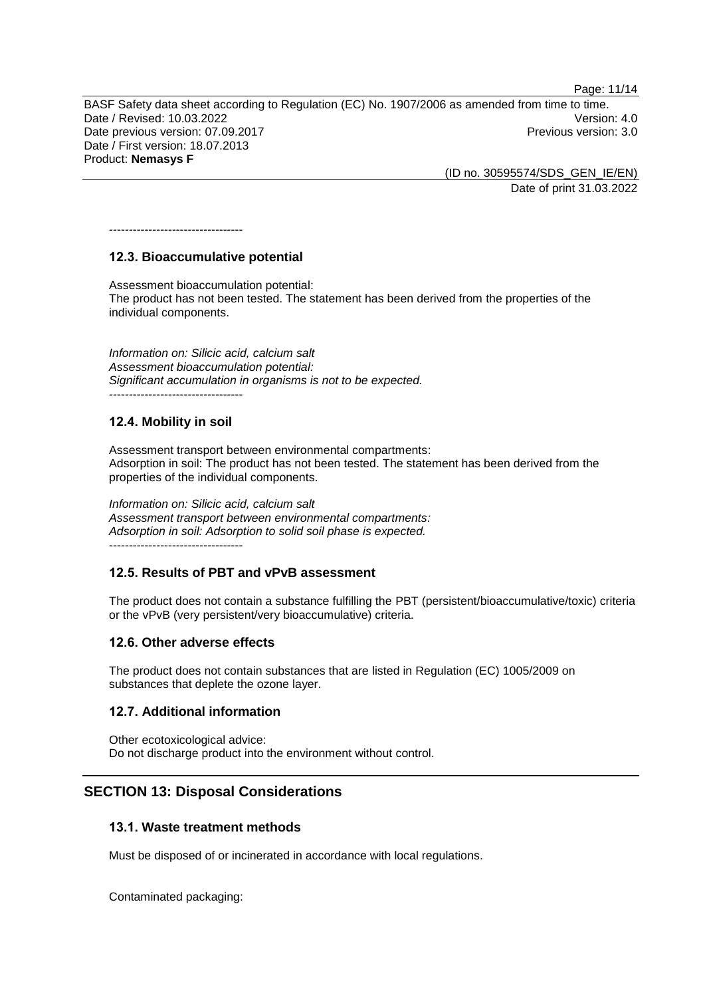Page: 11/14

BASF Safety data sheet according to Regulation (EC) No. 1907/2006 as amended from time to time. Date / Revised: 10.03.2022 Version: 4.0 Date previous version: 07.09.2017 **Previous version: 3.0** Previous version: 3.0 Date / First version: 18.07.2013

Product: **Nemasys F**

(ID no. 30595574/SDS\_GEN\_IE/EN) Date of print 31.03.2022

# **12.3. Bioaccumulative potential**

----------------------------------

Assessment bioaccumulation potential: The product has not been tested. The statement has been derived from the properties of the individual components.

*Information on: Silicic acid, calcium salt Assessment bioaccumulation potential: Significant accumulation in organisms is not to be expected.* ----------------------------------

# **12.4. Mobility in soil**

Assessment transport between environmental compartments: Adsorption in soil: The product has not been tested. The statement has been derived from the properties of the individual components.

*Information on: Silicic acid, calcium salt Assessment transport between environmental compartments: Adsorption in soil: Adsorption to solid soil phase is expected.* ----------------------------------

# **12.5. Results of PBT and vPvB assessment**

The product does not contain a substance fulfilling the PBT (persistent/bioaccumulative/toxic) criteria or the vPvB (very persistent/very bioaccumulative) criteria.

# **12.6. Other adverse effects**

The product does not contain substances that are listed in Regulation (EC) 1005/2009 on substances that deplete the ozone layer.

# **12.7. Additional information**

Other ecotoxicological advice: Do not discharge product into the environment without control.

# **SECTION 13: Disposal Considerations**

# **13.1. Waste treatment methods**

Must be disposed of or incinerated in accordance with local regulations.

Contaminated packaging: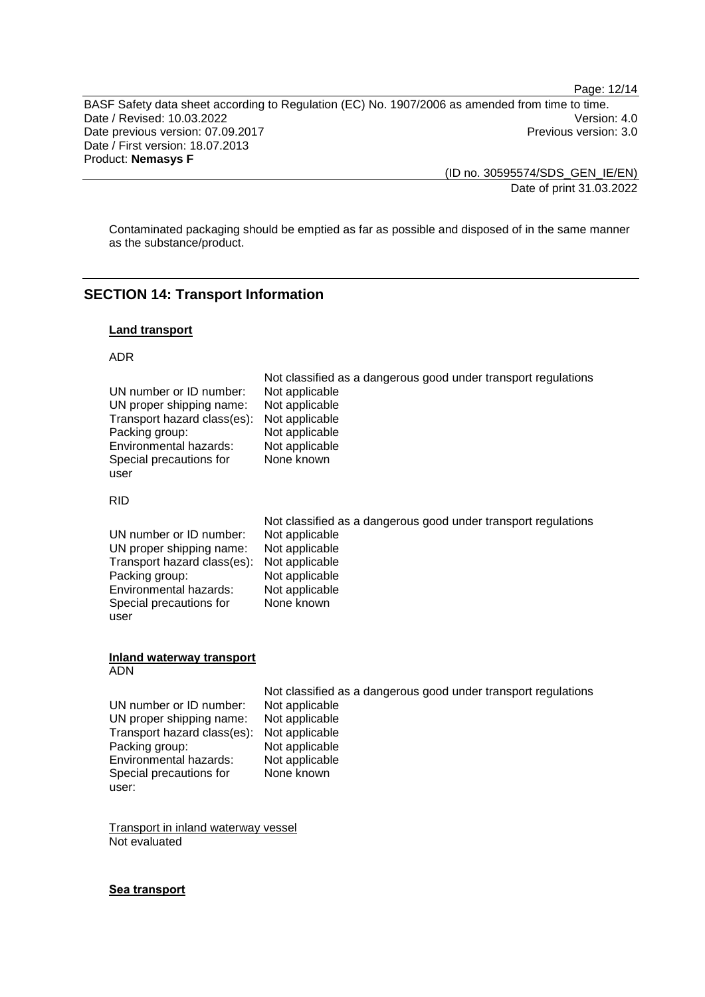Page: 12/14

BASF Safety data sheet according to Regulation (EC) No. 1907/2006 as amended from time to time. Date / Revised: 10.03.2022<br>
Date previous version: 07.09.2017<br>
Previous version: 3.0 Date previous version: 07.09.2017 Date / First version: 18.07.2013 Product: **Nemasys F**

> (ID no. 30595574/SDS\_GEN\_IE/EN) Date of print 31.03.2022

Contaminated packaging should be emptied as far as possible and disposed of in the same manner as the substance/product.

# **SECTION 14: Transport Information**

### **Land transport**

#### ADR

|                             | Not classified as a dangerous good under transport regulations |
|-----------------------------|----------------------------------------------------------------|
| UN number or ID number:     | Not applicable                                                 |
| UN proper shipping name:    | Not applicable                                                 |
| Transport hazard class(es): | Not applicable                                                 |
| Packing group:              | Not applicable                                                 |
| Environmental hazards:      | Not applicable                                                 |
| Special precautions for     | None known                                                     |
| user                        |                                                                |

### RID

|                             | Not classified as a dangerous good under transport regulations |
|-----------------------------|----------------------------------------------------------------|
| UN number or ID number:     | Not applicable                                                 |
| UN proper shipping name:    | Not applicable                                                 |
| Transport hazard class(es): | Not applicable                                                 |
| Packing group:              | Not applicable                                                 |
| Environmental hazards:      | Not applicable                                                 |
| Special precautions for     | None known                                                     |
| user                        |                                                                |

#### **Inland waterway transport** ADN

| UN number or ID number:     | Not app |
|-----------------------------|---------|
| UN proper shipping name:    | Not app |
| Transport hazard class(es): | Not app |
| Packing group:              | Not app |
| Environmental hazards:      | Not app |
| Special precautions for     | None k  |
| user:                       |         |

Not classified as a dangerous good under transport regulations plicable .<br>plicable .<br>plicable .<br>plicable plicable nown)

Transport in inland waterway vessel Not evaluated

#### **Sea transport**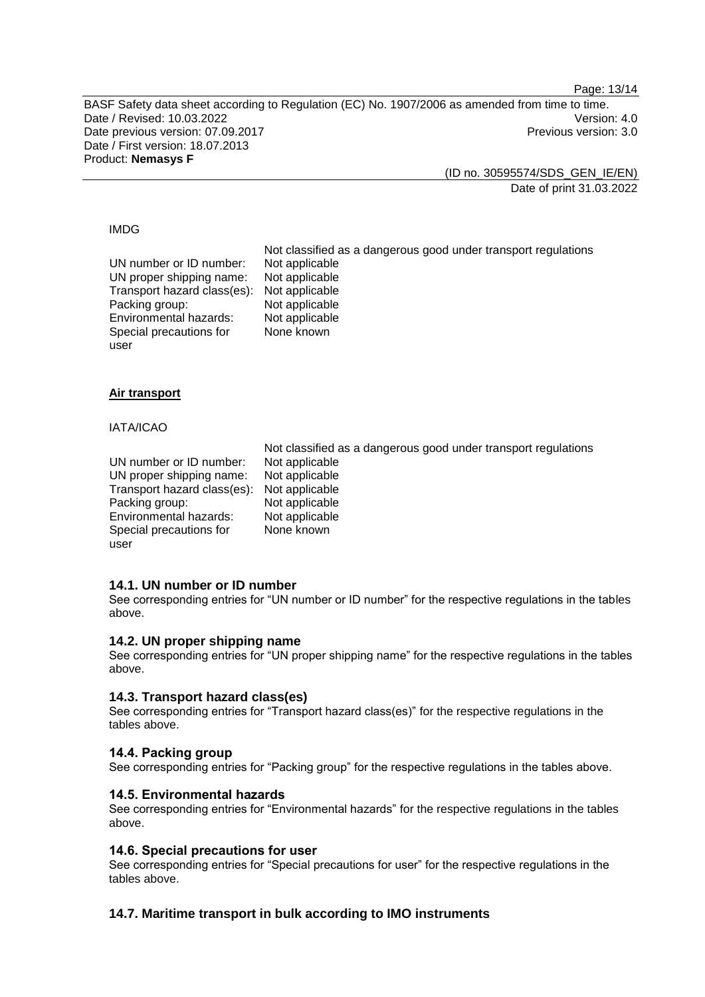Page: 13/14

BASF Safety data sheet according to Regulation (EC) No. 1907/2006 as amended from time to time. Date / Revised: 10.03.2022 Version: 4.0 Date previous version: 07.09.2017 **Previous version: 3.0** Previous version: 3.0 Date / First version: 18.07.2013 Product: **Nemasys F**

(ID no. 30595574/SDS\_GEN\_IE/EN)

Date of print 31.03.2022

#### IMDG

Not classified as a dangerous good under transport regulations UN number or ID number: Not applicable<br>UN proper shipping name: Not applicable UN proper shipping name: Not applicable<br>Transport hazard class(es): Not applicable Transport hazard class(es): Packing group: Not applicable<br>
Environmental hazards: Not applicable Environmental hazards: Special precautions for user None known

# **Air transport**

### IATA/ICAO

UN number or ID number: Not applicable<br>UN proper shipping name: Not applicable UN proper shipping name: Not applicable<br>Transport hazard class(es): Not applicable Transport hazard class(es): Packing group: Not applicable<br>
Environmental hazards: Not applicable Environmental hazards: Special precautions for user

Not classified as a dangerous good under transport regulations None known

# **14.1. UN number or ID number**

See corresponding entries for "UN number or ID number" for the respective regulations in the tables above.

#### **14.2. UN proper shipping name**

See corresponding entries for "UN proper shipping name" for the respective regulations in the tables above.

#### **14.3. Transport hazard class(es)**

See corresponding entries for "Transport hazard class(es)" for the respective regulations in the tables above.

# **14.4. Packing group**

See corresponding entries for "Packing group" for the respective regulations in the tables above.

#### **14.5. Environmental hazards**

See corresponding entries for "Environmental hazards" for the respective regulations in the tables above.

#### **14.6. Special precautions for user**

See corresponding entries for "Special precautions for user" for the respective regulations in the tables above.

# **14.7. Maritime transport in bulk according to IMO instruments**